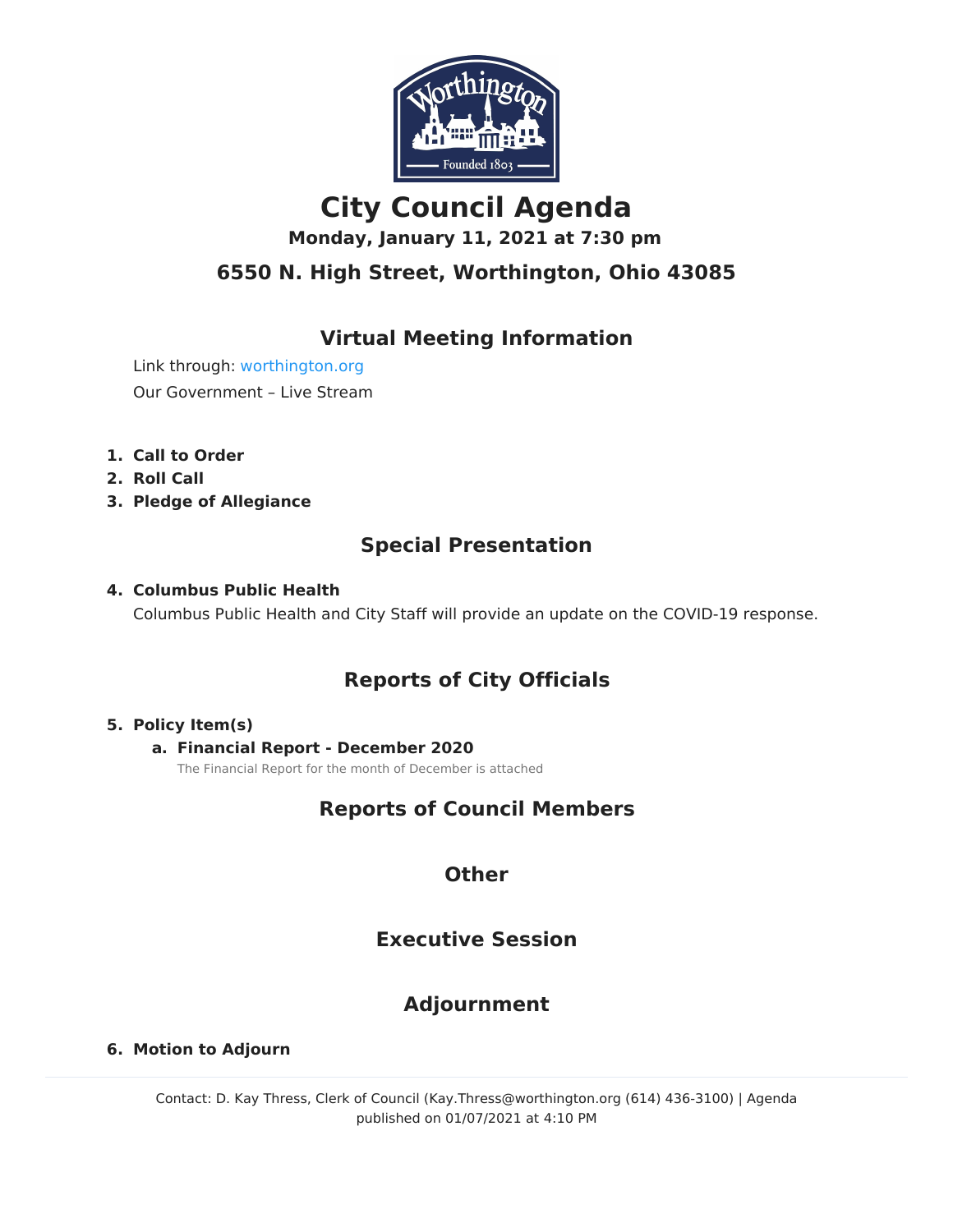

# **City Council Agenda**

**Monday, January 11, 2021 at 7:30 pm**

### **6550 N. High Street, Worthington, Ohio 43085**

### **Virtual Meeting Information**

Link through: [worthington.org](http://worthington.org/) Our Government – Live Stream

- **1. Call to Order**
- **2. Roll Call**
- **3. Pledge of Allegiance**

### **Special Presentation**

### **4. Columbus Public Health**

Columbus Public Health and City Staff will provide an update on the COVID-19 response.

### **Reports of City Officials**

### **5. Policy Item(s)**

### **a. Financial Report - December 2020**

The Financial Report for the month of December is attached

### **Reports of Council Members**

### **Other**

### **Executive Session**

### **Adjournment**

### **6. Motion to Adjourn**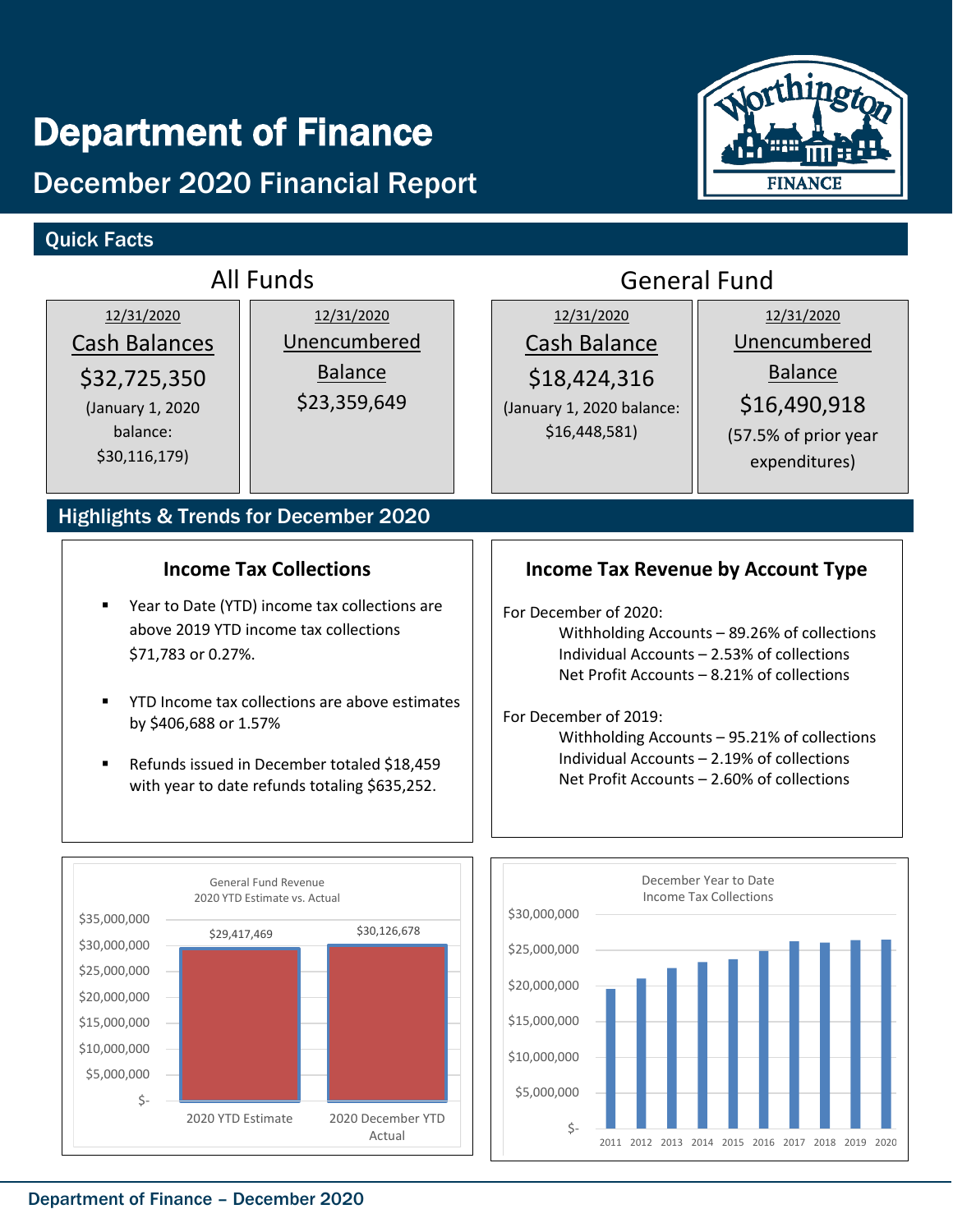# Department of Finance

# December 2020 Financial Report

### Quick Facts



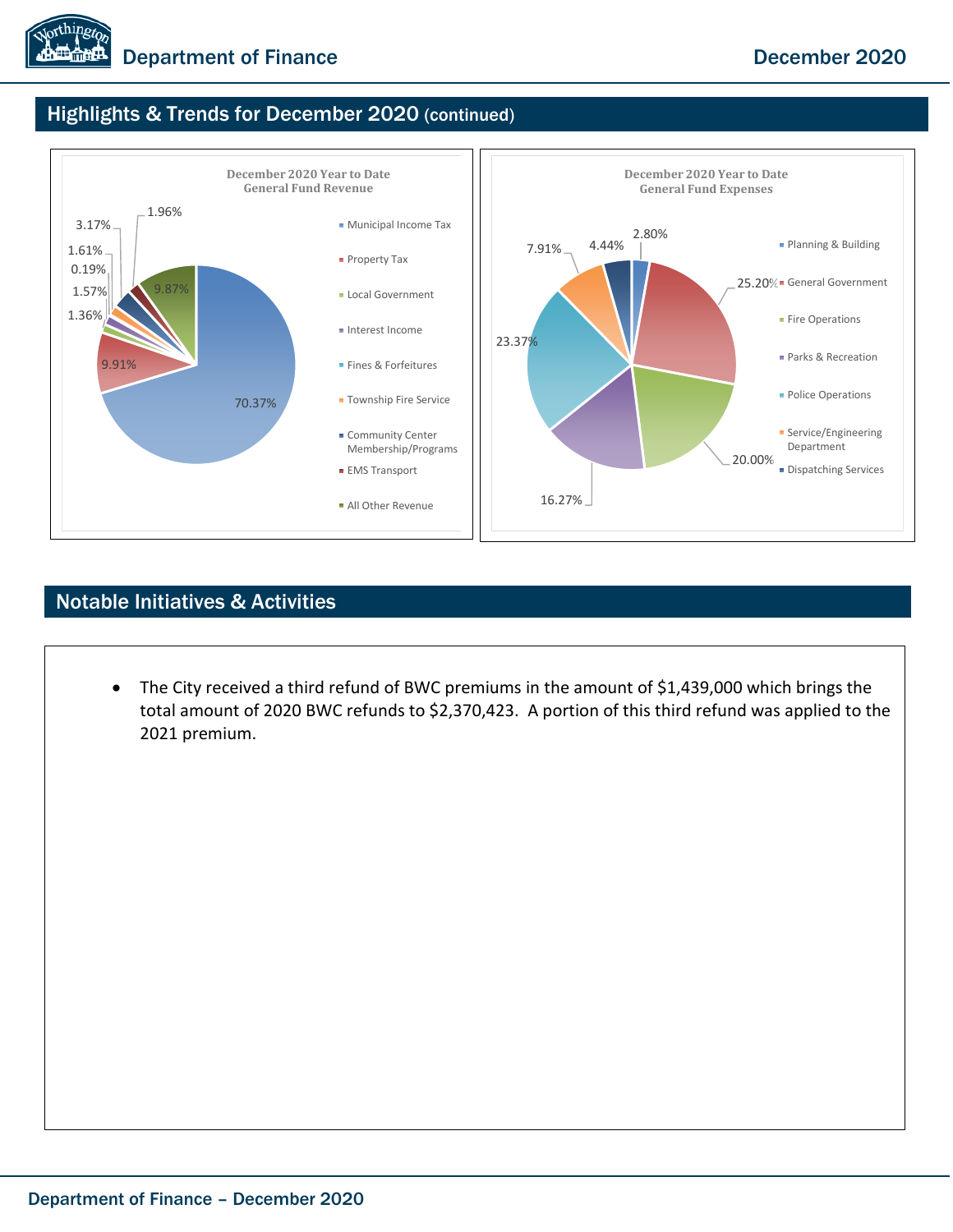

### Highlights & Trends for December 2020 (continued)



### Notable Initiatives & Activities

• The City received a third refund of BWC premiums in the amount of \$1,439,000 which brings the total amount of 2020 BWC refunds to \$2,370,423. A portion of this third refund was applied to the 2021 premium.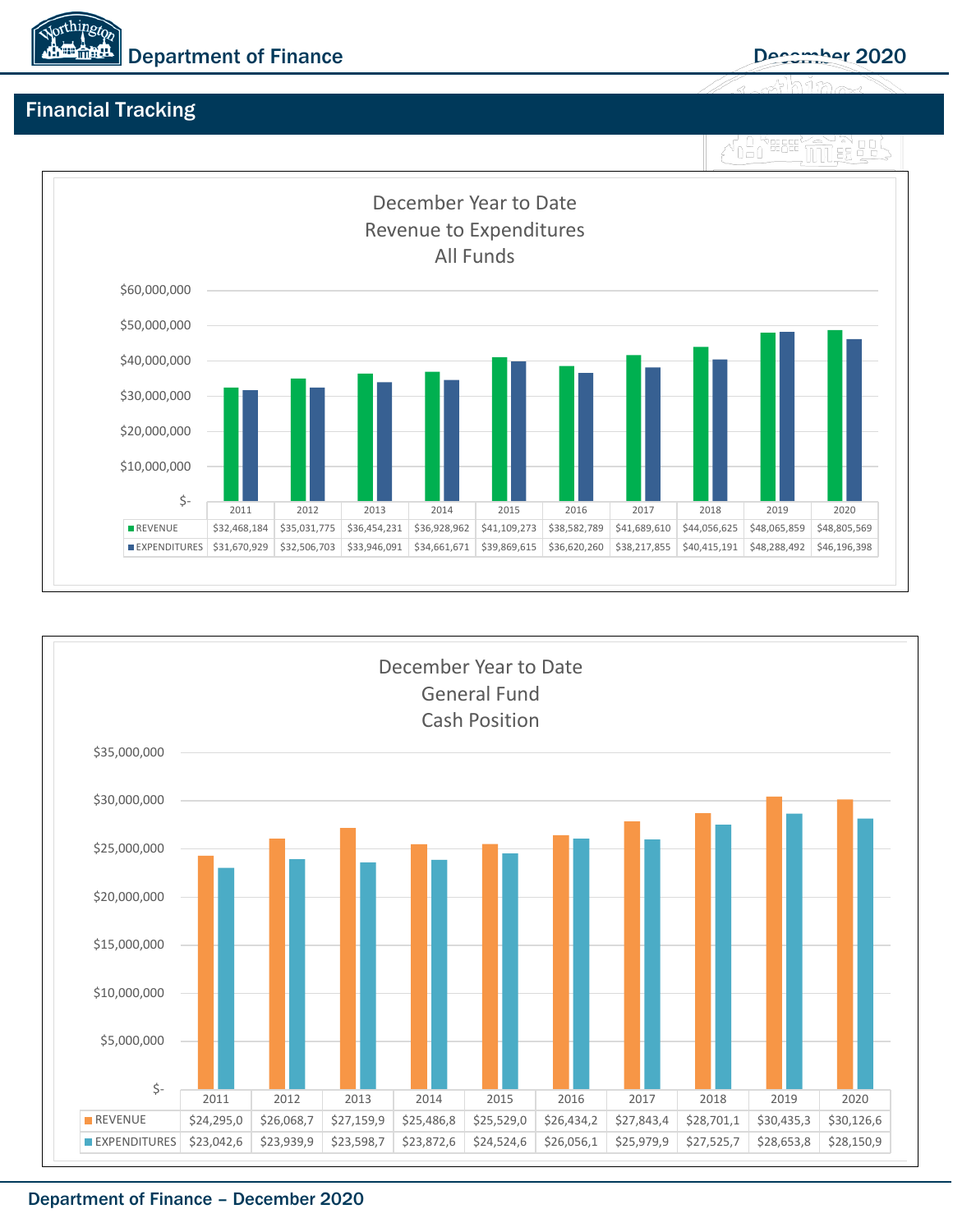

### Financial Tracking





### Department of Finance – December 2020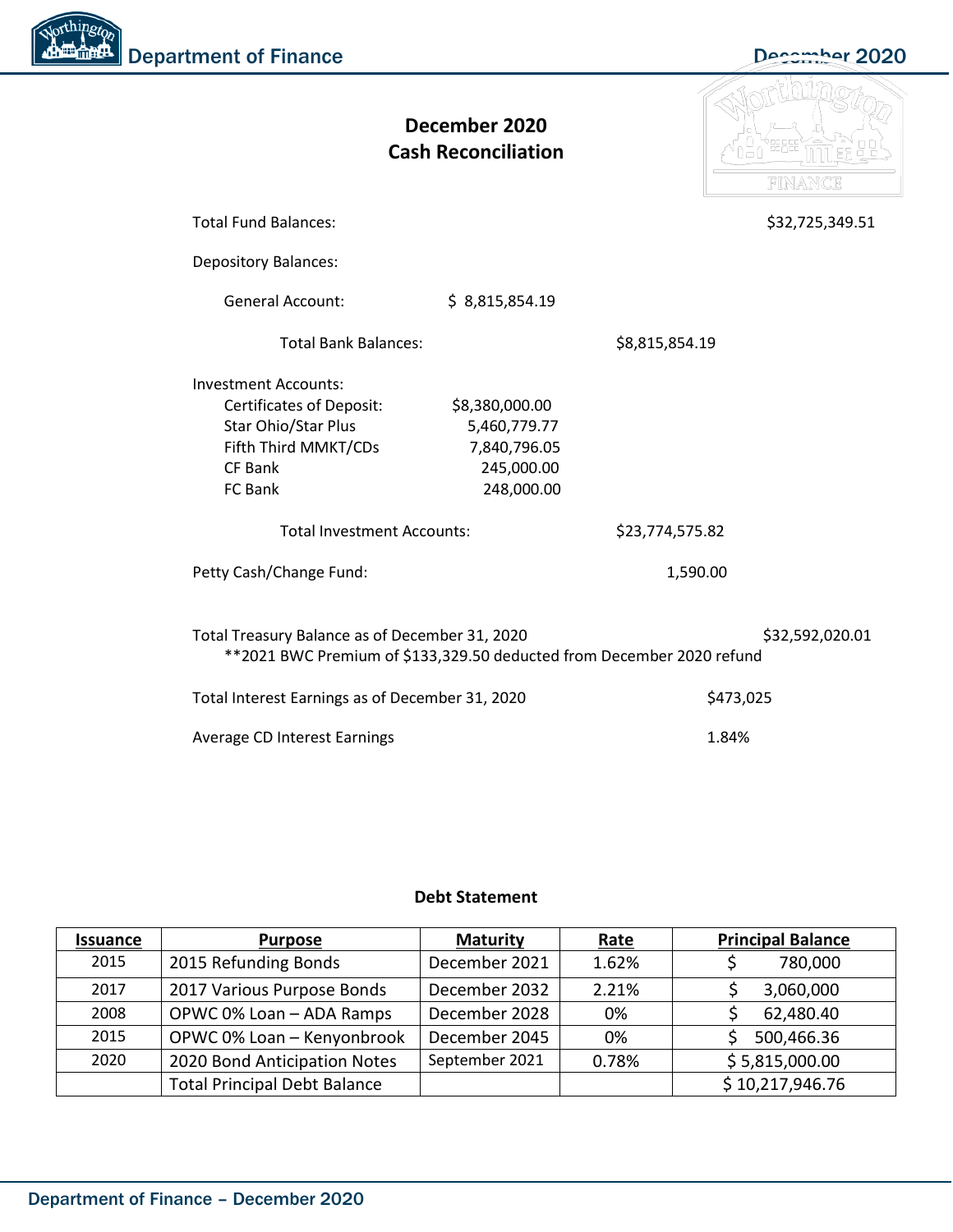Northingto Department of Finance December 2020

|                                                                                                                         | December 2020<br><b>Cash Reconciliation</b> |                 |                 |  |  |  |  |  |
|-------------------------------------------------------------------------------------------------------------------------|---------------------------------------------|-----------------|-----------------|--|--|--|--|--|
| <b>Total Fund Balances:</b>                                                                                             |                                             |                 | \$32,725,349.51 |  |  |  |  |  |
| <b>Depository Balances:</b>                                                                                             |                                             |                 |                 |  |  |  |  |  |
| <b>General Account:</b>                                                                                                 | \$8,815,854.19                              |                 |                 |  |  |  |  |  |
| <b>Total Bank Balances:</b>                                                                                             |                                             | \$8,815,854.19  |                 |  |  |  |  |  |
| <b>Investment Accounts:</b>                                                                                             |                                             |                 |                 |  |  |  |  |  |
| <b>Certificates of Deposit:</b>                                                                                         | \$8,380,000.00                              |                 |                 |  |  |  |  |  |
| Star Ohio/Star Plus                                                                                                     | 5,460,779.77                                |                 |                 |  |  |  |  |  |
| Fifth Third MMKT/CDs                                                                                                    | 7,840,796.05                                |                 |                 |  |  |  |  |  |
| <b>CF Bank</b>                                                                                                          | 245,000.00                                  |                 |                 |  |  |  |  |  |
| FC Bank                                                                                                                 | 248,000.00                                  |                 |                 |  |  |  |  |  |
| <b>Total Investment Accounts:</b>                                                                                       |                                             | \$23,774,575.82 |                 |  |  |  |  |  |
| Petty Cash/Change Fund:                                                                                                 |                                             | 1,590.00        |                 |  |  |  |  |  |
| Total Treasury Balance as of December 31, 2020<br>**2021 BWC Premium of \$133,329.50 deducted from December 2020 refund |                                             |                 | \$32,592,020.01 |  |  |  |  |  |
| Total Interest Earnings as of December 31, 2020                                                                         |                                             | \$473,025       |                 |  |  |  |  |  |
| Average CD Interest Earnings                                                                                            | 1.84%                                       |                 |                 |  |  |  |  |  |

### **Debt Statement**

| <b>Issuance</b> | <b>Purpose</b>                      | <b>Maturity</b> | <u>Rate</u> | <b>Principal Balance</b> |
|-----------------|-------------------------------------|-----------------|-------------|--------------------------|
| 2015            | 2015 Refunding Bonds                | December 2021   | 1.62%       | 780,000                  |
| 2017            | 2017 Various Purpose Bonds          | December 2032   | 2.21%       | 3,060,000                |
| 2008            | OPWC 0% Loan - ADA Ramps            | December 2028   | 0%          | 62,480.40                |
| 2015            | OPWC 0% Loan - Kenyonbrook          | December 2045   | 0%          | 500,466.36               |
| 2020            | 2020 Bond Anticipation Notes        | September 2021  | 0.78%       | \$5,815,000.00           |
|                 | <b>Total Principal Debt Balance</b> |                 |             | \$10,217,946.76          |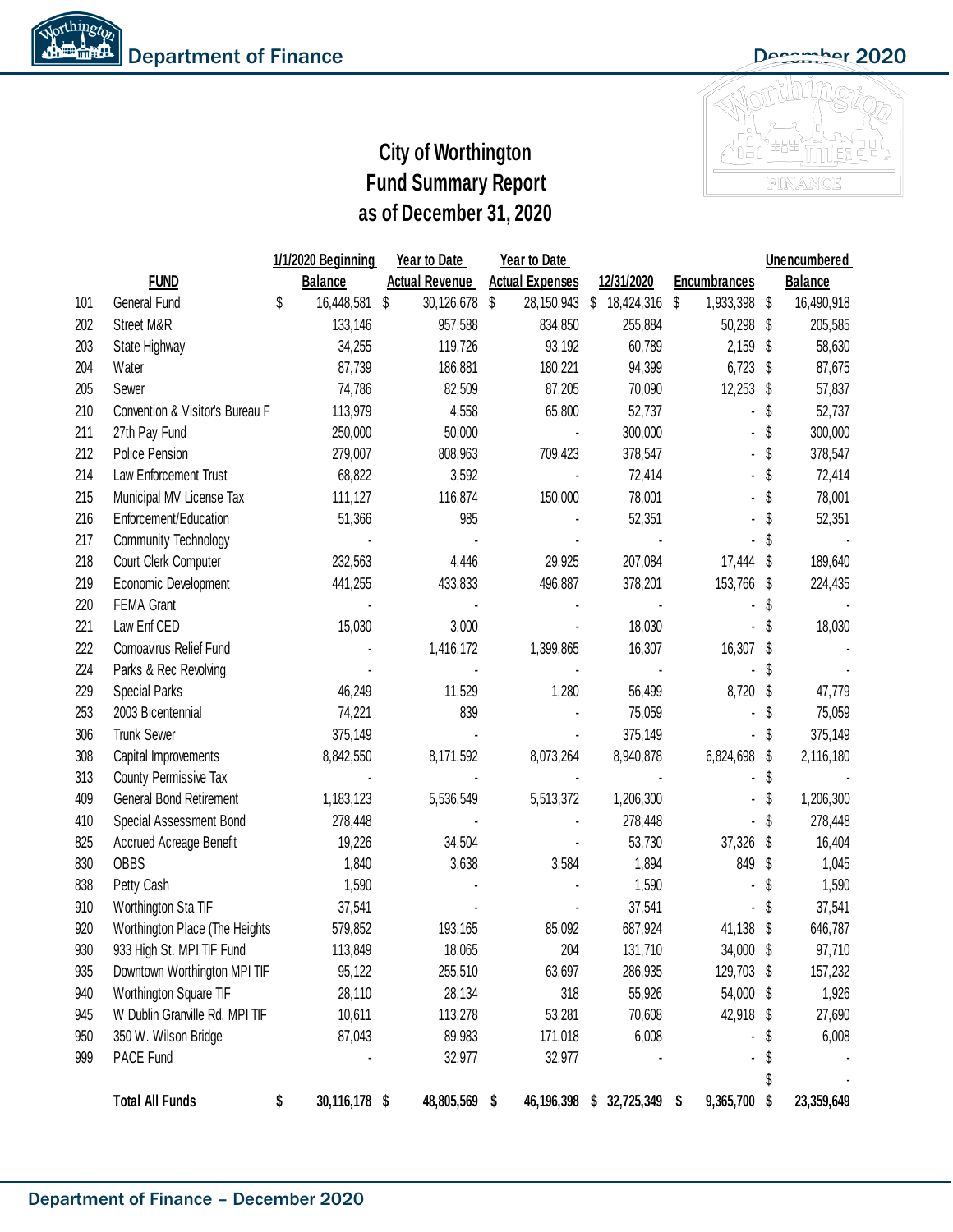

## **City of Worthington Fund Summary Report as of December 31, 2020**

|     |                                 | 1/1/2020 Beginning |                | <b>Year to Date</b> |                       | Year to Date           |   |               |                     | Unencumbered |                |  |
|-----|---------------------------------|--------------------|----------------|---------------------|-----------------------|------------------------|---|---------------|---------------------|--------------|----------------|--|
|     | <b>FUND</b>                     |                    | <b>Balance</b> |                     | <b>Actual Revenue</b> | <b>Actual Expenses</b> |   | 12/31/2020    | <b>Encumbrances</b> |              | <b>Balance</b> |  |
| 101 | General Fund                    | \$                 | 16,448,581     | \$                  | 30,126,678            | \$<br>28, 150, 943 \$  |   | 18,424,316 \$ | 1,933,398           | \$           | 16,490,918     |  |
| 202 | Street M&R                      |                    | 133,146        |                     | 957,588               | 834,850                |   | 255,884       | 50,298              | \$           | 205,585        |  |
| 203 | State Highway                   |                    | 34,255         |                     | 119,726               | 93,192                 |   | 60,789        | 2,159               | S            | 58,630         |  |
| 204 | Water                           |                    | 87,739         |                     | 186,881               | 180,221                |   | 94,399        | 6,723               | S            | 87,675         |  |
| 205 | Sewer                           |                    | 74,786         |                     | 82,509                | 87,205                 |   | 70,090        | $12,253$ \$         |              | 57,837         |  |
| 210 | Convention & Visitor's Bureau F |                    | 113,979        |                     | 4,558                 | 65,800                 |   | 52,737        |                     | S            | 52,737         |  |
| 211 | 27th Pay Fund                   |                    | 250,000        |                     | 50,000                |                        |   | 300,000       |                     | \$           | 300,000        |  |
| 212 | Police Pension                  |                    | 279,007        |                     | 808,963               | 709,423                |   | 378,547       |                     | \$           | 378,547        |  |
| 214 | Law Enforcement Trust           |                    | 68,822         |                     | 3,592                 |                        |   | 72,414        |                     | \$           | 72,414         |  |
| 215 | Municipal MV License Tax        |                    | 111,127        |                     | 116,874               | 150,000                |   | 78,001        |                     |              | 78,001         |  |
| 216 | Enforcement/Education           |                    | 51,366         |                     | 985                   |                        |   | 52,351        |                     |              | 52,351         |  |
| 217 | <b>Community Technology</b>     |                    |                |                     |                       |                        |   |               |                     |              |                |  |
| 218 | Court Clerk Computer            |                    | 232,563        |                     | 4,446                 | 29,925                 |   | 207,084       | 17,444              | S            | 189,640        |  |
| 219 | Economic Development            |                    | 441,255        |                     | 433,833               | 496,887                |   | 378,201       | 153,766             | S            | 224,435        |  |
| 220 | <b>FEMA Grant</b>               |                    |                |                     |                       |                        |   |               |                     | 5            |                |  |
| 221 | Law Enf CED                     |                    | 15,030         |                     | 3,000                 |                        |   | 18,030        |                     |              | 18,030         |  |
| 222 | Cornoavirus Relief Fund         |                    |                |                     | 1,416,172             | 1,399,865              |   | 16,307        | 16,307              | S            |                |  |
| 224 | Parks & Rec Revolving           |                    |                |                     |                       |                        |   |               |                     | S            |                |  |
| 229 | <b>Special Parks</b>            |                    | 46,249         |                     | 11,529                | 1,280                  |   | 56,499        | 8,720               | S            | 47,779         |  |
| 253 | 2003 Bicentennial               |                    | 74,221         |                     | 839                   |                        |   | 75,059        |                     |              | 75,059         |  |
| 306 | <b>Trunk Sewer</b>              |                    | 375,149        |                     |                       |                        |   | 375,149       |                     |              | 375,149        |  |
| 308 | Capital Improvements            |                    | 8,842,550      |                     | 8,171,592             | 8,073,264              |   | 8,940,878     | 6,824,698           | \$           | 2,116,180      |  |
| 313 | County Permissive Tax           |                    |                |                     |                       |                        |   |               |                     |              |                |  |
| 409 | General Bond Retirement         |                    | 1,183,123      |                     | 5,536,549             | 5,513,372              |   | 1,206,300     |                     |              | 1,206,300      |  |
| 410 | Special Assessment Bond         |                    | 278,448        |                     |                       |                        |   | 278,448       |                     | S            | 278,448        |  |
| 825 | Accrued Acreage Benefit         |                    | 19,226         |                     | 34,504                |                        |   | 53,730        | 37,326              | S            | 16,404         |  |
| 830 | <b>OBBS</b>                     |                    | 1,840          |                     | 3,638                 | 3,584                  |   | 1,894         | 849                 | S            | 1,045          |  |
| 838 | Petty Cash                      |                    | 1,590          |                     |                       |                        |   | 1,590         |                     | S            | 1,590          |  |
| 910 | Worthington Sta TIF             |                    | 37,541         |                     |                       |                        |   | 37,541        |                     |              | 37,541         |  |
| 920 | Worthington Place (The Heights  |                    | 579,852        |                     | 193,165               | 85,092                 |   | 687,924       | 41,138              | S            | 646,787        |  |
| 930 | 933 High St. MPI TIF Fund       |                    | 113,849        |                     | 18,065                | 204                    |   | 131,710       | 34,000 \$           |              | 97,710         |  |
| 935 | Downtown Worthington MPI TIF    |                    | 95,122         |                     | 255,510               | 63,697                 |   | 286,935       | 129,703 \$          |              | 157,232        |  |
| 940 | Worthington Square TIF          |                    | 28,110         |                     | 28,134                | 318                    |   | 55,926        | 54,000 \$           |              | 1,926          |  |
| 945 | W Dublin Granville Rd. MPI TIF  |                    | 10,611         |                     | 113,278               | 53,281                 |   | 70,608        | 42,918 \$           |              | 27,690         |  |
| 950 | 350 W. Wilson Bridge            |                    | 87,043         |                     | 89,983                | 171,018                |   | 6,008         |                     | y.           | 6,008          |  |
| 999 | PACE Fund                       |                    |                |                     | 32,977                | 32,977                 |   |               |                     | \$           |                |  |
|     |                                 |                    |                |                     |                       |                        |   |               |                     | \$           |                |  |
|     | <b>Total All Funds</b>          | \$                 | 30,116,178 \$  |                     | 48,805,569 \$         | 46,196,398             | S | 32,725,349    | \$<br>9,365,700     | S            | 23,359,649     |  |